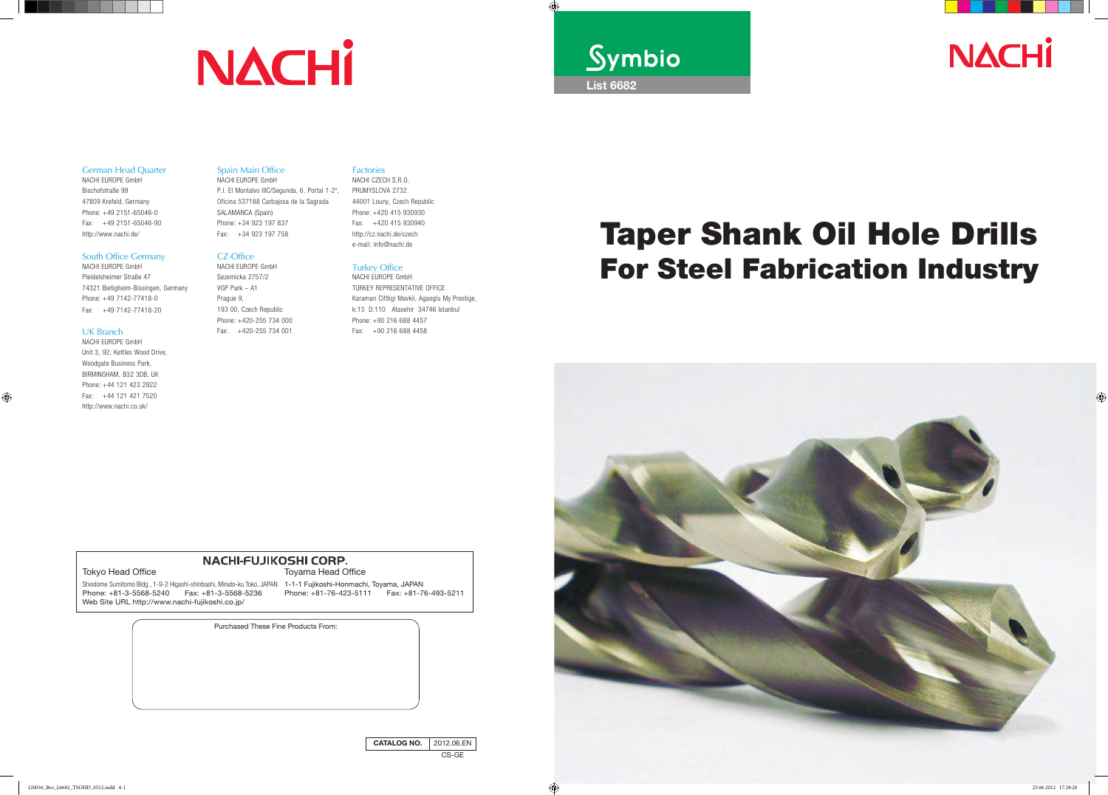



Purchased These Fine Products From:

#### Tokyo Head Office

Shiodome Sumitomo Bldg., 1-9-2 Higashi-shinbashi, Minato-ku Toko, JAPAN 1-1-1 Fujikoshi-Honmachi, Toyama, JAPAN Phone: +81-3-5568-5240 Fax: +81-3-5568-5236 Web Site URL http://www.nachi-fujikoshi.co.jp/ Phone: +81-76-423-5111 Fax: +81-76-493-5211

Toyama Head Office

#### Spain Main Office

NACHI EUROPE GmbH P.I. El Montalvo IIIC/Segunda, 6. Portal 1-2<sup>a</sup>, Oficina 537188 Carbajosa de la Sagrada SALAMANCA (Spain) Phone: +34 923 197 837 Fax: +34 923 197 758

#### CZ-Office

NACHI EUROPE GmbH Sezemicka 2757/2 VGP Park – A1 Prague 9, 193 00, Czech Republic Phone: +420-255 734 000 Fax: +420-255 734 001

#### German Head Quarter

NACHI EUROPE GmbH Bischofstraße 99 47809 Krefeld, Germany Phone: +49 2151-65046-0 Fax: +49 2151-65046-90 http://www.nachi.de/

#### South Office Germany

NACHI EUROPE GmbH Pleidelsheimer Straße 47 74321 Bietigheim-Bissingen, Germany Phone: +49 7142-77418-0 Fax: +49 7142-77418-20

#### UK Branch

NACHI EUROPE GmbH Unit 3, 92, Kettles Wood Drive, Woodgate Business Park, Birmingham, B32 3DB, UK Phone: +44 121 423 2922 Fax: +44 121 421 7520 http://www.nachi.co.uk/

#### Factories

NACHI CZECH S.R.O. PRUMYSLOVA 2732 44001 Louny, Czech Republic Phone: +420 415 930930 Fax: +420 415 930940 http://cz.nachi.de/czech e-mail: info@nachi.de

#### Turkey Office

NACHI EUROPE GmbH TURKEY REPRESENTATIVE OFFICE Karaman Ciftligi Mevkii, Agaoglu My Prestige, k:13 D:110 Atasehir 34746 Istanbul Phone: +90 216 688 4457 Fax: +90 216 688 4458



# **NACHI-FUJIKOSHI CORP.**

# **NACHI**



# Taper Shank Oil Hole Drills For Steel Fabrication Industry